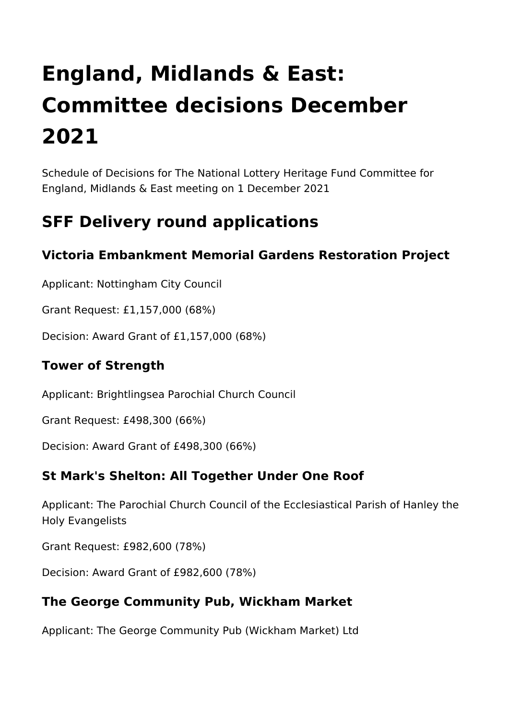# **England, Midlands & East: Committee decisions December 2021**

Schedule of Decisions for The National Lottery Heritage Fund Committee for England, Midlands & East meeting on 1 December 2021

# **SFF Delivery round applications**

## **Victoria Embankment Memorial Gardens Restoration Project**

Applicant: Nottingham City Council

Grant Request: £1,157,000 (68%)

Decision: Award Grant of £1,157,000 (68%)

## **Tower of Strength**

Applicant: Brightlingsea Parochial Church Council

Grant Request: £498,300 (66%)

Decision: Award Grant of £498,300 (66%)

#### **St Mark's Shelton: All Together Under One Roof**

Applicant: The Parochial Church Council of the Ecclesiastical Parish of Hanley the Holy Evangelists

Grant Request: £982,600 (78%)

Decision: Award Grant of £982,600 (78%)

## **The George Community Pub, Wickham Market**

Applicant: The George Community Pub (Wickham Market) Ltd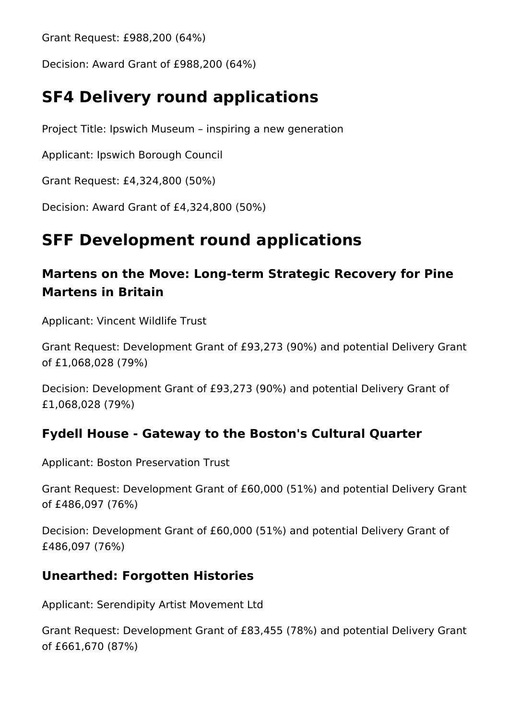Grant Request: £988,200 (64%)

Decision: Award Grant of £988,200 (64%)

## **SF4 Delivery round applications**

Project Title: Ipswich Museum – inspiring a new generation

Applicant: Ipswich Borough Council

Grant Request: £4,324,800 (50%)

Decision: Award Grant of £4,324,800 (50%)

## **SFF Development round applications**

## **Martens on the Move: Long-term Strategic Recovery for Pine Martens in Britain**

Applicant: Vincent Wildlife Trust

Grant Request: Development Grant of £93,273 (90%) and potential Delivery Grant of £1,068,028 (79%)

Decision: Development Grant of £93,273 (90%) and potential Delivery Grant of £1,068,028 (79%)

## **Fydell House - Gateway to the Boston's Cultural Quarter**

Applicant: Boston Preservation Trust

Grant Request: Development Grant of £60,000 (51%) and potential Delivery Grant of £486,097 (76%)

Decision: Development Grant of £60,000 (51%) and potential Delivery Grant of £486,097 (76%)

## **Unearthed: Forgotten Histories**

Applicant: Serendipity Artist Movement Ltd

Grant Request: Development Grant of £83,455 (78%) and potential Delivery Grant of £661,670 (87%)